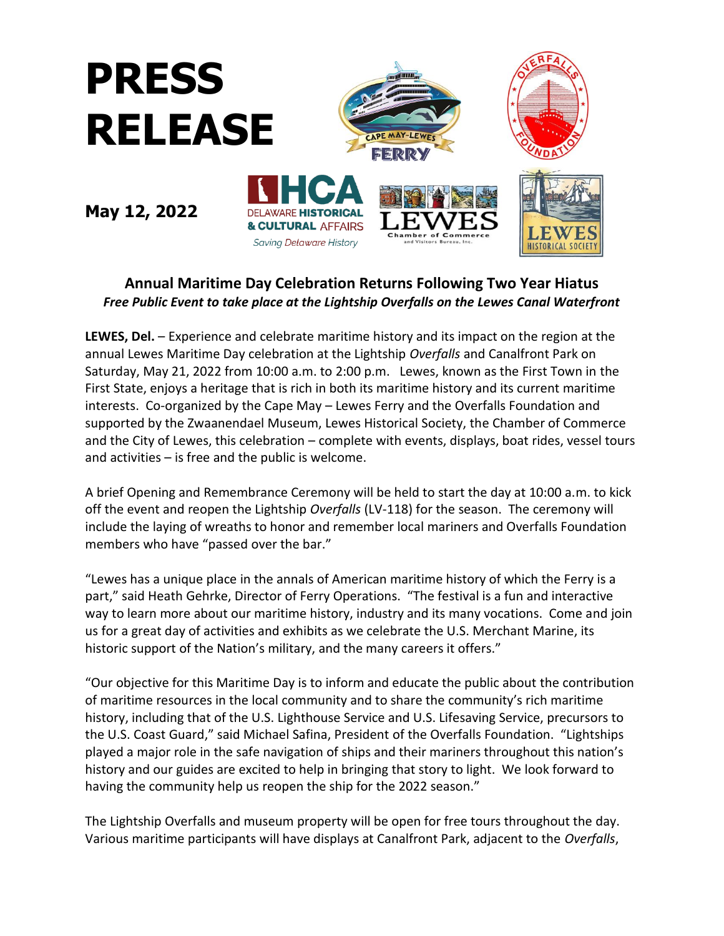

## **Annual Maritime Day Celebration Returns Following Two Year Hiatus** *Free Public Event to take place at the Lightship Overfalls on the Lewes Canal Waterfront*

**LEWES, Del.** – Experience and celebrate maritime history and its impact on the region at the annual Lewes Maritime Day celebration at the Lightship *Overfalls* and Canalfront Park on Saturday, May 21, 2022 from 10:00 a.m. to 2:00 p.m. Lewes, known as the First Town in the First State, enjoys a heritage that is rich in both its maritime history and its current maritime interests. Co-organized by the Cape May – Lewes Ferry and the Overfalls Foundation and supported by the Zwaanendael Museum, Lewes Historical Society, the Chamber of Commerce and the City of Lewes, this celebration – complete with events, displays, boat rides, vessel tours and activities – is free and the public is welcome.

A brief Opening and Remembrance Ceremony will be held to start the day at 10:00 a.m. to kick off the event and reopen the Lightship *Overfalls* (LV-118) for the season. The ceremony will include the laying of wreaths to honor and remember local mariners and Overfalls Foundation members who have "passed over the bar."

"Lewes has a unique place in the annals of American maritime history of which the Ferry is a part," said Heath Gehrke, Director of Ferry Operations. "The festival is a fun and interactive way to learn more about our maritime history, industry and its many vocations. Come and join us for a great day of activities and exhibits as we celebrate the U.S. Merchant Marine, its historic support of the Nation's military, and the many careers it offers."

"Our objective for this Maritime Day is to inform and educate the public about the contribution of maritime resources in the local community and to share the community's rich maritime history, including that of the U.S. Lighthouse Service and U.S. Lifesaving Service, precursors to the U.S. Coast Guard," said Michael Safina, President of the Overfalls Foundation. "Lightships played a major role in the safe navigation of ships and their mariners throughout this nation's history and our guides are excited to help in bringing that story to light. We look forward to having the community help us reopen the ship for the 2022 season."

The Lightship Overfalls and museum property will be open for free tours throughout the day. Various maritime participants will have displays at Canalfront Park, adjacent to the *Overfalls*,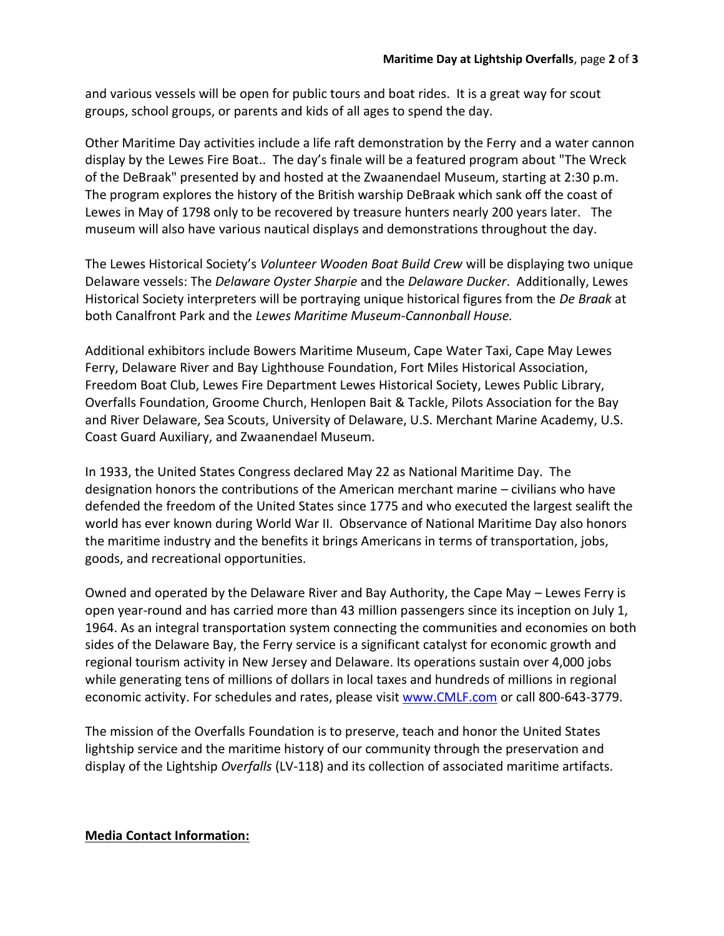and various vessels will be open for public tours and boat rides. It is a great way for scout groups, school groups, or parents and kids of all ages to spend the day.

Other Maritime Day activities include a life raft demonstration by the Ferry and a water cannon display by the Lewes Fire Boat.. The day's finale will be a featured program about "The Wreck of the DeBraak" presented by and hosted at the Zwaanendael Museum, starting at 2:30 p.m. The program explores the history of the British warship DeBraak which sank off the coast of Lewes in May of 1798 only to be recovered by treasure hunters nearly 200 years later. The museum will also have various nautical displays and demonstrations throughout the day.

The Lewes Historical Society's *Volunteer Wooden Boat Build Crew* will be displaying two unique Delaware vessels: The *Delaware Oyster Sharpie* and the *Delaware Ducker*. Additionally, Lewes Historical Society interpreters will be portraying unique historical figures from the *De Braak* at both Canalfront Park and the *Lewes Maritime Museum-Cannonball House.*

Additional exhibitors include Bowers Maritime Museum, Cape Water Taxi, Cape May Lewes Ferry, Delaware River and Bay Lighthouse Foundation, Fort Miles Historical Association, Freedom Boat Club, Lewes Fire Department Lewes Historical Society, Lewes Public Library, Overfalls Foundation, Groome Church, Henlopen Bait & Tackle, Pilots Association for the Bay and River Delaware, Sea Scouts, University of Delaware, U.S. Merchant Marine Academy, U.S. Coast Guard Auxiliary, and Zwaanendael Museum.

In 1933, the United States Congress declared May 22 as National Maritime Day. The designation honors the contributions of the American merchant marine – civilians who have defended the freedom of the United States since 1775 and who executed the largest sealift the world has ever known during World War II. Observance of National Maritime Day also honors the maritime industry and the benefits it brings Americans in terms of transportation, jobs, goods, and recreational opportunities.

Owned and operated by the Delaware River and Bay Authority, the Cape May – Lewes Ferry is open year-round and has carried more than 43 million passengers since its inception on July 1, 1964. As an integral transportation system connecting the communities and economies on both sides of the Delaware Bay, the Ferry service is a significant catalyst for economic growth and regional tourism activity in New Jersey and Delaware. Its operations sustain over 4,000 jobs while generating tens of millions of dollars in local taxes and hundreds of millions in regional economic activity. For schedules and rates, please visit [www.CMLF.com](http://www.cmlf.com/) or call 800-643-3779.

The mission of the Overfalls Foundation is to preserve, teach and honor the United States lightship service and the maritime history of our community through the preservation and display of the Lightship *Overfalls* (LV-118) and its collection of associated maritime artifacts.

## **Media Contact Information:**